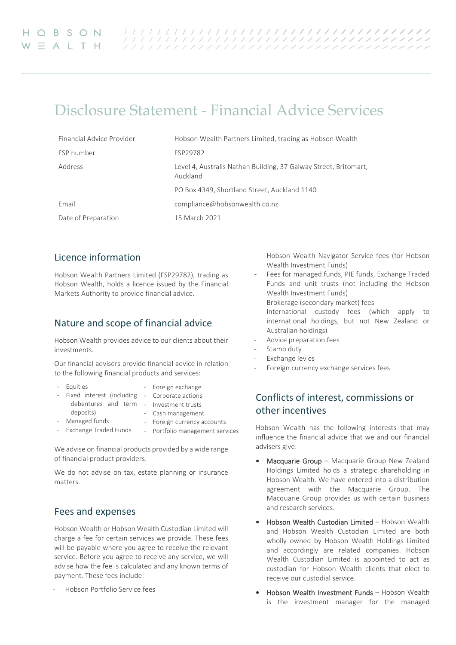# Disclosure Statement - Financial Advice Services

| Financial Advice Provider | Hobson Wealth Partners Limited, trading as Hobson Wealth                     |
|---------------------------|------------------------------------------------------------------------------|
| FSP number                | FSP29782                                                                     |
| Address                   | Level 4, Australis Nathan Building, 37 Galway Street, Britomart,<br>Auckland |
|                           | PO Box 4349, Shortland Street, Auckland 1140                                 |
| Email                     | compliance@hobsonwealth.co.nz                                                |
| Date of Preparation       | 15 March 2021                                                                |

### Licence information

Hobson Wealth Partners Limited (FSP29782), trading as Hobson Wealth, holds a licence issued by the Financial Markets Authority to provide financial advice.

### Nature and scope of financial advice

Hobson Wealth provides advice to our clients about their investments.

Our financial advisers provide financial advice in relation to the following financial products and services:

| - Equities                                      | - Foreign exchange              |
|-------------------------------------------------|---------------------------------|
| - Fixed interest (including - Corporate actions |                                 |
| debentures and term - Investment trusts         |                                 |
| deposits)                                       | - Cash management               |
| - Managed funds                                 | - Foreign currency accounts     |
| - Exchange Traded Funds                         | - Portfolio management services |
|                                                 |                                 |

We advise on financial products provided by a wide range of financial product providers.

We do not advise on tax, estate planning or insurance matters.

### Fees and expenses

Hobson Wealth or Hobson Wealth Custodian Limited will charge a fee for certain services we provide. These fees will be payable where you agree to receive the relevant service. Before you agree to receive any service, we will advise how the fee is calculated and any known terms of payment. These fees include:

Hobson Portfolio Service fees

- Hobson Wealth Navigator Service fees (for Hobson Wealth Investment Funds)
- Fees for managed funds, PIE funds, Exchange Traded Funds and unit trusts (not including the Hobson Wealth Investment Funds)
- Brokerage (secondary market) fees
- International custody fees (which apply to international holdings, but not New Zealand or Australian holdings)
- Advice preparation fees
- Stamp duty
- Exchange levies
- Foreign currency exchange services fees

# Conflicts of interest, commissions or other incentives

Hobson Wealth has the following interests that may influence the financial advice that we and our financial advisers give:

- Macquarie Group Macquarie Group New Zealand Holdings Limited holds a strategic shareholding in Hobson Wealth. We have entered into a distribution agreement with the Macquarie Group. The Macquarie Group provides us with certain business and research services.
- Hobson Wealth Custodian Limited Hobson Wealth and Hobson Wealth Custodian Limited are both wholly owned by Hobson Wealth Holdings Limited and accordingly are related companies. Hobson Wealth Custodian Limited is appointed to act as custodian for Hobson Wealth clients that elect to receive our custodial service.
- Hobson Wealth Investment Funds Hobson Wealth is the investment manager for the managed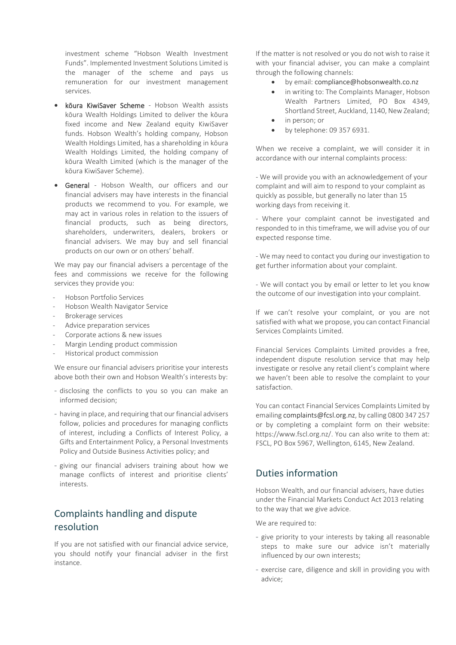investment scheme "Hobson Wealth Investment Funds". Implemented Investment Solutions Limited is the manager of the scheme and pays us remuneration for our investment management services.

- kōura KiwiSaver Scheme Hobson Wealth assists kōura Wealth Holdings Limited to deliver the kōura fixed income and New Zealand equity KiwiSaver funds. Hobson Wealth's holding company, Hobson Wealth Holdings Limited, has a shareholding in kōura Wealth Holdings Limited, the holding company of kōura Wealth Limited (which is the manager of the kōura KiwiSaver Scheme).
- General Hobson Wealth, our officers and our financial advisers may have interests in the financial products we recommend to you. For example, we may act in various roles in relation to the issuers of financial products, such as being directors, shareholders, underwriters, dealers, brokers or financial advisers. We may buy and sell financial products on our own or on others' behalf.

We may pay our financial advisers a percentage of the fees and commissions we receive for the following services they provide you:

- Hobson Portfolio Services
- Hobson Wealth Navigator Service
- Brokerage services
- Advice preparation services
- Corporate actions & new issues
- Margin Lending product commission
- Historical product commission

We ensure our financial advisers prioritise your interests above both their own and Hobson Wealth's interests by:

- disclosing the conflicts to you so you can make an informed decision;
- having in place, and requiring that our financial advisers follow, policies and procedures for managing conflicts of interest, including a Conflicts of Interest Policy, a Gifts and Entertainment Policy, a Personal Investments Policy and Outside Business Activities policy; and
- giving our financial advisers training about how we manage conflicts of interest and prioritise clients' interests.

# Complaints handling and dispute resolution

If you are not satisfied with our financial advice service, you should notify your financial adviser in the first instance.

If the matter is not resolved or you do not wish to raise it with your financial adviser, you can make a complaint through the following channels:

- by email: [compliance@hobsonwealth.co.nz](mailto:compliance@hobsonwealth.co.nz)
- in writing to: The Complaints Manager, Hobson Wealth Partners Limited, PO Box 4349, Shortland Street, Auckland, 1140, New Zealand;
- in person; or
- by telephone: 09 357 6931.

When we receive a complaint, we will consider it in accordance with our internal complaints process:

- We will provide you with an acknowledgement of your complaint and will aim to respond to your complaint as quickly as possible, but generally no later than 15 working days from receiving it.

- Where your complaint cannot be investigated and responded to in this timeframe, we will advise you of our expected response time.

- We may need to contact you during our investigation to get further information about your complaint.

- We will contact you by email or letter to let you know the outcome of our investigation into your complaint.

If we can't resolve your complaint, or you are not satisfied with what we propose, you can contact Financial Services Complaints Limited.

Financial Services Complaints Limited provides a free, independent dispute resolution service that may help investigate or resolve any retail client's complaint where we haven't been able to resolve the complaint to your satisfaction.

You can contact Financial Services Complaints Limited by emailin[g complaints@fcsl.org.nz,](mailto:complaints@fcsl.org.nz) by calling 0800 347 257 or by completing a complaint form on their website: https://www.fscl.org.nz/. You can also write to them at: FSCL, PO Box 5967, Wellington, 6145, New Zealand.

### Duties information

Hobson Wealth, and our financial advisers, have duties under the Financial Markets Conduct Act 2013 relating to the way that we give advice.

We are required to:

- give priority to your interests by taking all reasonable steps to make sure our advice isn't materially influenced by our own interests;
- exercise care, diligence and skill in providing you with advice;